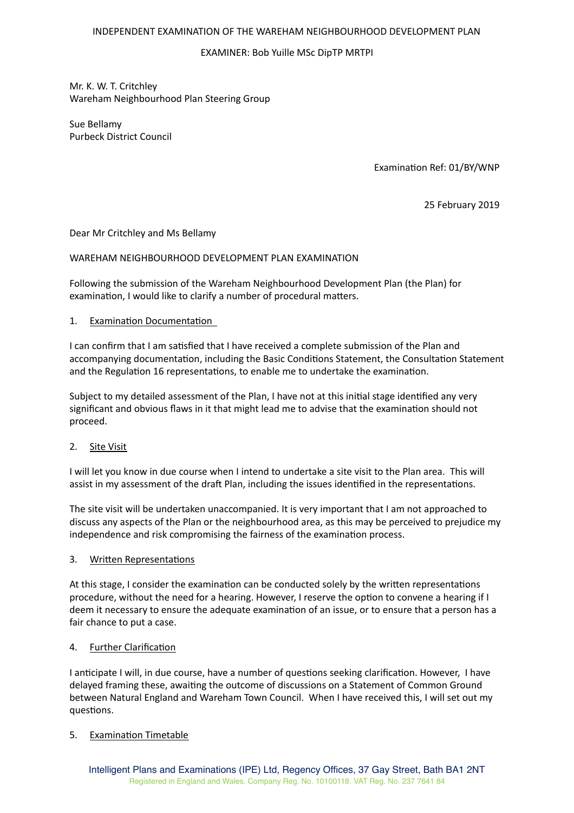### INDEPENDENT EXAMINATION OF THE WAREHAM NEIGHBOURHOOD DEVELOPMENT PLAN

# EXAMINER: Bob Yuille MSc DipTP MRTPI

Mr. K. W. T. Critchley Wareham Neighbourhood Plan Steering Group

Sue Bellamy Purbeck District Council

Examination Ref: 01/BY/WNP

25 February 2019

Dear Mr Critchley and Ms Bellamy

### WAREHAM NEIGHBOURHOOD DEVELOPMENT PLAN EXAMINATION

Following the submission of the Wareham Neighbourhood Development Plan (the Plan) for examination, I would like to clarify a number of procedural matters.

### 1. Examination Documentation

I can confirm that I am satisfied that I have received a complete submission of the Plan and accompanying documentation, including the Basic Conditions Statement, the Consultation Statement and the Regulation 16 representations, to enable me to undertake the examination.

Subject to my detailed assessment of the Plan, I have not at this initial stage identified any very significant and obvious flaws in it that might lead me to advise that the examination should not proceed.

# 2. Site Visit

I will let you know in due course when I intend to undertake a site visit to the Plan area. This will assist in my assessment of the draft Plan, including the issues identified in the representations.

The site visit will be undertaken unaccompanied. It is very important that I am not approached to discuss any aspects of the Plan or the neighbourhood area, as this may be perceived to prejudice my independence and risk compromising the fairness of the examination process.

#### 3. Written Representations

At this stage, I consider the examination can be conducted solely by the written representations procedure, without the need for a hearing. However, I reserve the option to convene a hearing if I deem it necessary to ensure the adequate examination of an issue, or to ensure that a person has a fair chance to put a case.

#### 4. Further Clarification

I anticipate I will, in due course, have a number of questions seeking clarification. However, I have delayed framing these, awaiting the outcome of discussions on a Statement of Common Ground between Natural England and Wareham Town Council. When I have received this, I will set out my questions.

# 5. Examination Timetable